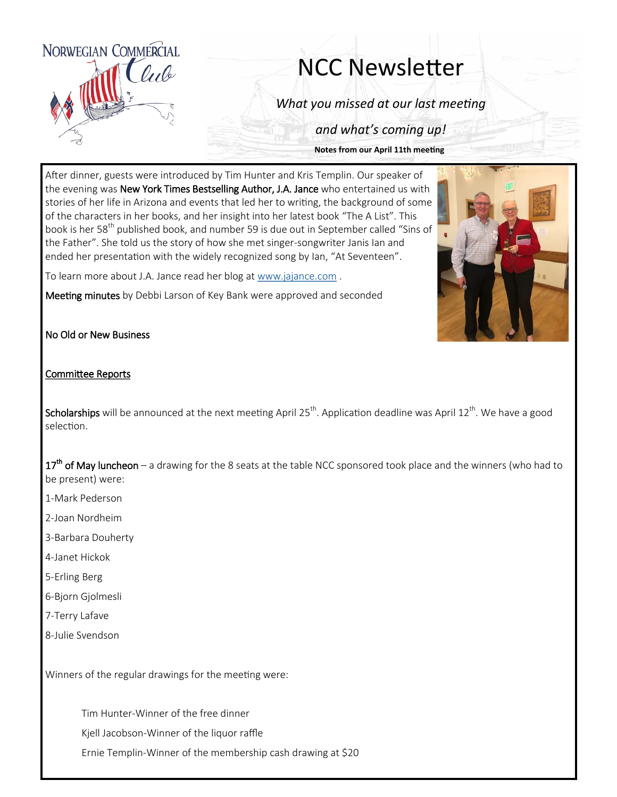

## NCC Newsletter

*What you missed at our last meeting*

*and what's coming up!*

**Notes from our April 11th meeting**

After dinner, guests were introduced by Tim Hunter and Kris Templin. Our speaker of the evening was New York Times Bestselling Author, J.A. Jance who entertained us with stories of her life in Arizona and events that led her to writing, the background of some of the characters in her books, and her insight into her latest book "The A List". This book is her 58<sup>th</sup> published book, and number 59 is due out in September called "Sins of the Father". She told us the story of how she met singer-songwriter Janis Ian and ended her presentation with the widely recognized song by Ian, "At Seventeen".

To learn more about J.A. Jance read her blog at [www.jajance.com](http://www.jajance.com) .

Meeting minutes by Debbi Larson of Key Bank were approved and seconded



No Old or New Business

## Committee Reports

Scholarships will be announced at the next meeting April 25<sup>th</sup>. Application deadline was April 12<sup>th</sup>. We have a good selection.

17<sup>th</sup> of May luncheon – a drawing for the 8 seats at the table NCC sponsored took place and the winners (who had to be present) were:

- 1-Mark Pederson
- 2-Joan Nordheim
- 3-Barbara Douherty
- 4-Janet Hickok
- 5-Erling Berg
- 6-Bjorn Gjolmesli
- 7-Terry Lafave
- 8-Julie Svendson

Winners of the regular drawings for the meeting were:

Tim Hunter-Winner of the free dinner

Kjell Jacobson-Winner of the liquor raffle

Ernie Templin-Winner of the membership cash drawing at \$20